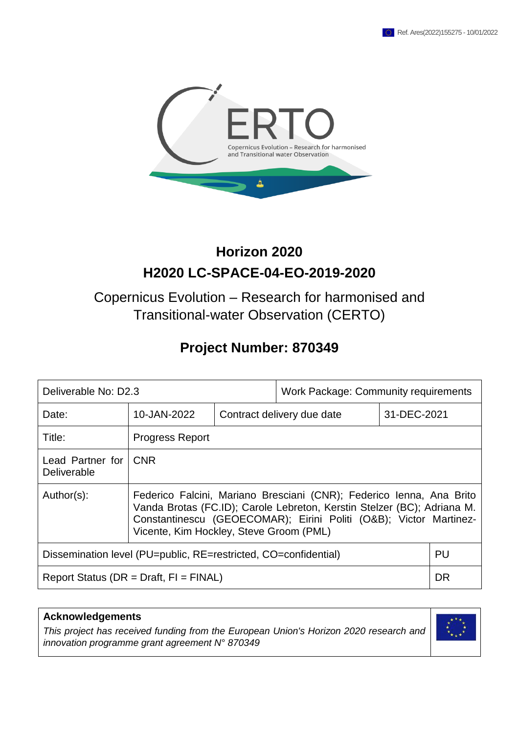

# **Horizon 2020 H2020 LC-SPACE-04-EO-2019-2020**

# Copernicus Evolution – Research for harmonised and Transitional-water Observation (CERTO)

# **Project Number: 870349**

| Deliverable No: D2.3                                                  |                                                                                                                                                                                                                                                                 | <b>Work Package: Community requirements</b> |           |             |  |
|-----------------------------------------------------------------------|-----------------------------------------------------------------------------------------------------------------------------------------------------------------------------------------------------------------------------------------------------------------|---------------------------------------------|-----------|-------------|--|
| Date:                                                                 | 10-JAN-2022                                                                                                                                                                                                                                                     | Contract delivery due date                  |           | 31-DEC-2021 |  |
| Title:                                                                | <b>Progress Report</b>                                                                                                                                                                                                                                          |                                             |           |             |  |
| Lead Partner for<br><b>Deliverable</b>                                | <b>CNR</b>                                                                                                                                                                                                                                                      |                                             |           |             |  |
| Author(s):                                                            | Federico Falcini, Mariano Bresciani (CNR); Federico Ienna, Ana Brito<br>Vanda Brotas (FC.ID); Carole Lebreton, Kerstin Stelzer (BC); Adriana M.<br>Constantinescu (GEOECOMAR); Eirini Politi (O&B); Victor Martinez-<br>Vicente, Kim Hockley, Steve Groom (PML) |                                             |           |             |  |
| PU<br>Dissemination level (PU=public, RE=restricted, CO=confidential) |                                                                                                                                                                                                                                                                 |                                             |           |             |  |
| Report Status ( $DR = Draft$ , $FI = FINAL$ )                         |                                                                                                                                                                                                                                                                 |                                             | <b>DR</b> |             |  |

| <b>Acknowledgements</b>                                                                                                                          |  |
|--------------------------------------------------------------------------------------------------------------------------------------------------|--|
| This project has received funding from the European Union's Horizon 2020 research and<br>innovation programme grant agreement $N^{\circ}$ 870349 |  |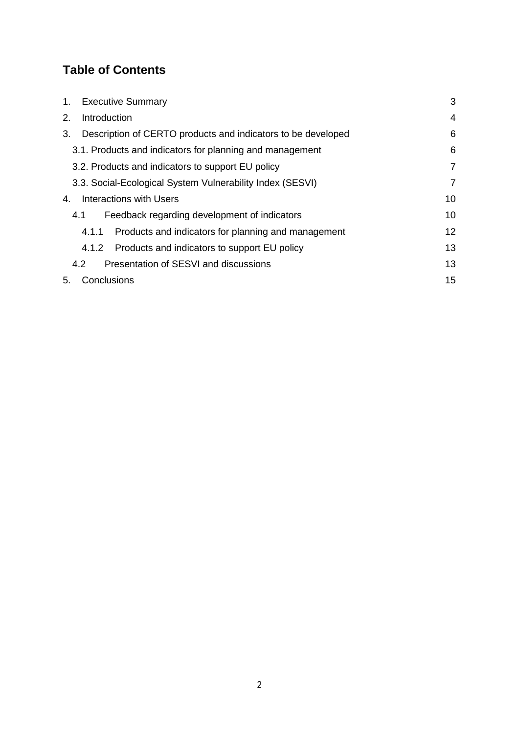# **Table of Contents**

| <b>Executive Summary</b><br>1.                                     |    |
|--------------------------------------------------------------------|----|
| Introduction<br>2.                                                 | 4  |
| Description of CERTO products and indicators to be developed<br>3. | 6  |
| 3.1. Products and indicators for planning and management           | 6  |
| 3.2. Products and indicators to support EU policy                  | 7  |
| 3.3. Social-Ecological System Vulnerability Index (SESVI)          | 7  |
| Interactions with Users<br>4.                                      | 10 |
| Feedback regarding development of indicators<br>4.1                | 10 |
| Products and indicators for planning and management<br>4.1.1       | 12 |
| Products and indicators to support EU policy<br>4.1.2              | 13 |
| Presentation of SESVI and discussions<br>4.2                       | 13 |
| Conclusions<br>5.                                                  | 15 |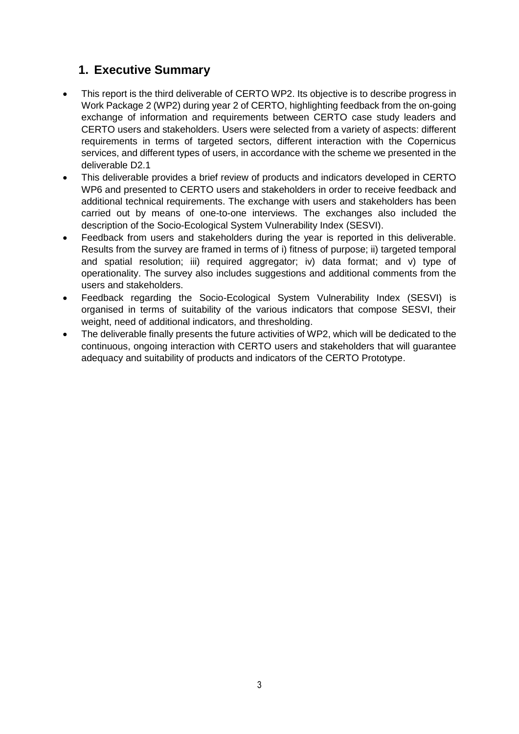# <span id="page-2-0"></span>**1. Executive Summary**

- This report is the third deliverable of CERTO WP2. Its objective is to describe progress in Work Package 2 (WP2) during year 2 of CERTO, highlighting feedback from the on-going exchange of information and requirements between CERTO case study leaders and CERTO users and stakeholders. Users were selected from a variety of aspects: different requirements in terms of targeted sectors, different interaction with the Copernicus services, and different types of users, in accordance with the scheme we presented in the deliverable D2.1
- This deliverable provides a brief review of products and indicators developed in CERTO WP6 and presented to CERTO users and stakeholders in order to receive feedback and additional technical requirements. The exchange with users and stakeholders has been carried out by means of one-to-one interviews. The exchanges also included the description of the Socio-Ecological System Vulnerability Index (SESVI).
- Feedback from users and stakeholders during the year is reported in this deliverable. Results from the survey are framed in terms of i) fitness of purpose; ii) targeted temporal and spatial resolution; iii) required aggregator; iv) data format; and v) type of operationality. The survey also includes suggestions and additional comments from the users and stakeholders.
- Feedback regarding the Socio-Ecological System Vulnerability Index (SESVI) is organised in terms of suitability of the various indicators that compose SESVI, their weight, need of additional indicators, and thresholding.
- The deliverable finally presents the future activities of WP2, which will be dedicated to the continuous, ongoing interaction with CERTO users and stakeholders that will guarantee adequacy and suitability of products and indicators of the CERTO Prototype.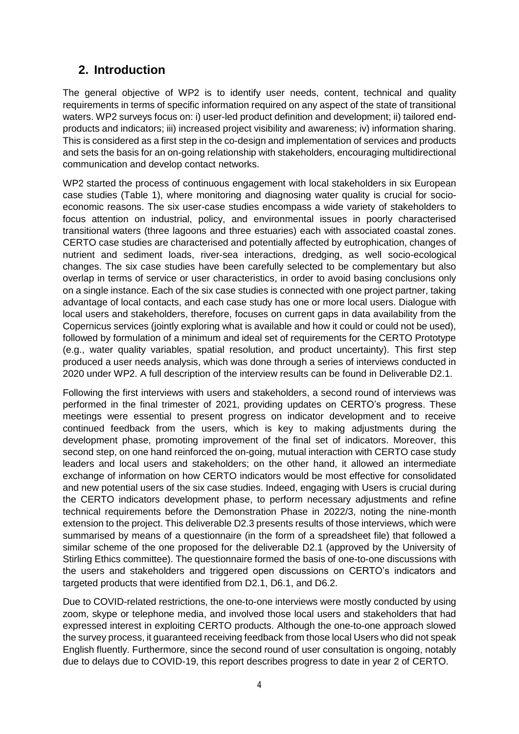# <span id="page-3-0"></span>**2. Introduction**

The general objective of WP2 is to identify user needs, content, technical and quality requirements in terms of specific information required on any aspect of the state of transitional waters. WP2 surveys focus on: i) user-led product definition and development; ii) tailored endproducts and indicators; iii) increased project visibility and awareness; iv) information sharing. This is considered as a first step in the co-design and implementation of services and products and sets the basis for an on-going relationship with stakeholders, encouraging multidirectional communication and develop contact networks.

WP2 started the process of continuous engagement with local stakeholders in six European case studies (Table 1), where monitoring and diagnosing water quality is crucial for socioeconomic reasons. The six user-case studies encompass a wide variety of stakeholders to focus attention on industrial, policy, and environmental issues in poorly characterised transitional waters (three lagoons and three estuaries) each with associated coastal zones. CERTO case studies are characterised and potentially affected by eutrophication, changes of nutrient and sediment loads, river-sea interactions, dredging, as well socio-ecological changes. The six case studies have been carefully selected to be complementary but also overlap in terms of service or user characteristics, in order to avoid basing conclusions only on a single instance. Each of the six case studies is connected with one project partner, taking advantage of local contacts, and each case study has one or more local users. Dialogue with local users and stakeholders, therefore, focuses on current gaps in data availability from the Copernicus services (jointly exploring what is available and how it could or could not be used), followed by formulation of a minimum and ideal set of requirements for the CERTO Prototype (e.g., water quality variables, spatial resolution, and product uncertainty). This first step produced a user needs analysis, which was done through a series of interviews conducted in 2020 under WP2. A full description of the interview results can be found in Deliverable D2.1.

Following the first interviews with users and stakeholders, a second round of interviews was performed in the final trimester of 2021, providing updates on CERTO's progress. These meetings were essential to present progress on indicator development and to receive continued feedback from the users, which is key to making adjustments during the development phase, promoting improvement of the final set of indicators. Moreover, this second step, on one hand reinforced the on-going, mutual interaction with CERTO case study leaders and local users and stakeholders; on the other hand, it allowed an intermediate exchange of information on how CERTO indicators would be most effective for consolidated and new potential users of the six case studies. Indeed, engaging with Users is crucial during the CERTO indicators development phase, to perform necessary adjustments and refine technical requirements before the Demonstration Phase in 2022/3, noting the nine-month extension to the project. This deliverable D2.3 presents results of those interviews, which were summarised by means of a questionnaire (in the form of a spreadsheet file) that followed a similar scheme of the one proposed for the deliverable D2.1 (approved by the University of Stirling Ethics committee). The questionnaire formed the basis of one-to-one discussions with the users and stakeholders and triggered open discussions on CERTO's indicators and targeted products that were identified from D2.1, D6.1, and D6.2.

Due to COVID-related restrictions, the one-to-one interviews were mostly conducted by using zoom, skype or telephone media, and involved those local users and stakeholders that had expressed interest in exploiting CERTO products. Although the one-to-one approach slowed the survey process, it guaranteed receiving feedback from those local Users who did not speak English fluently. Furthermore, since the second round of user consultation is ongoing, notably due to delays due to COVID-19, this report describes progress to date in year 2 of CERTO.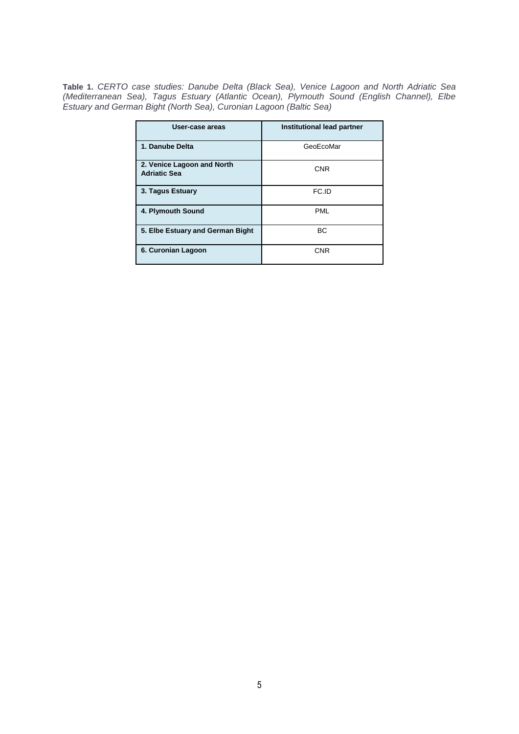**Table 1.** *CERTO case studies: Danube Delta (Black Sea), Venice Lagoon and North Adriatic Sea (Mediterranean Sea), Tagus Estuary (Atlantic Ocean), Plymouth Sound (English Channel), Elbe Estuary and German Bight (North Sea), Curonian Lagoon (Baltic Sea)* 

| User-case areas                                   | Institutional lead partner |
|---------------------------------------------------|----------------------------|
| 1. Danube Delta                                   | GeoEcoMar                  |
| 2. Venice Lagoon and North<br><b>Adriatic Sea</b> | <b>CNR</b>                 |
| 3. Tagus Estuary                                  | FC.ID                      |
| 4. Plymouth Sound                                 | <b>PML</b>                 |
| 5. Elbe Estuary and German Bight                  | BC                         |
| 6. Curonian Lagoon                                | <b>CNR</b>                 |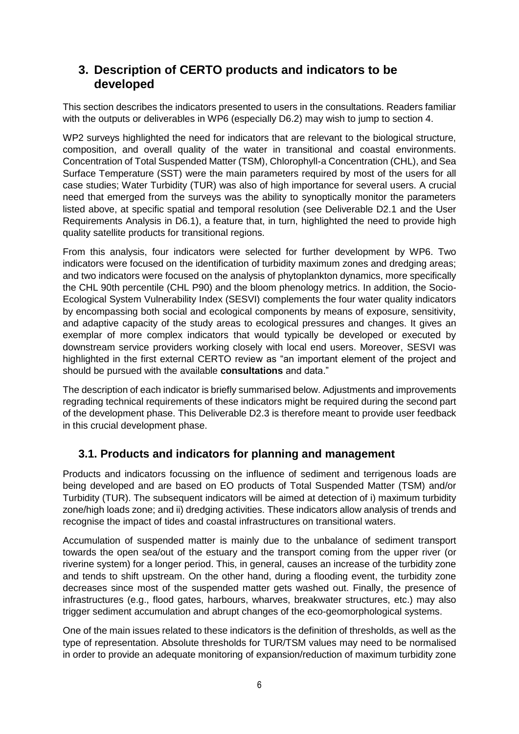## <span id="page-5-0"></span>**3. Description of CERTO products and indicators to be developed**

This section describes the indicators presented to users in the consultations. Readers familiar with the outputs or deliverables in WP6 (especially D6.2) may wish to jump to section 4.

WP2 surveys highlighted the need for indicators that are relevant to the biological structure, composition, and overall quality of the water in transitional and coastal environments. Concentration of Total Suspended Matter (TSM), Chlorophyll-a Concentration (CHL), and Sea Surface Temperature (SST) were the main parameters required by most of the users for all case studies; Water Turbidity (TUR) was also of high importance for several users. A crucial need that emerged from the surveys was the ability to synoptically monitor the parameters listed above, at specific spatial and temporal resolution (see Deliverable D2.1 and the User Requirements Analysis in D6.1), a feature that, in turn, highlighted the need to provide high quality satellite products for transitional regions.

From this analysis, four indicators were selected for further development by WP6. Two indicators were focused on the identification of turbidity maximum zones and dredging areas; and two indicators were focused on the analysis of phytoplankton dynamics, more specifically the CHL 90th percentile (CHL P90) and the bloom phenology metrics. In addition, the Socio-Ecological System Vulnerability Index (SESVI) complements the four water quality indicators by encompassing both social and ecological components by means of exposure, sensitivity, and adaptive capacity of the study areas to ecological pressures and changes. It gives an exemplar of more complex indicators that would typically be developed or executed by downstream service providers working closely with local end users. Moreover, SESVI was highlighted in the first external CERTO review as "an important element of the project and should be pursued with the available **consultations** and data."

The description of each indicator is briefly summarised below. Adjustments and improvements regrading technical requirements of these indicators might be required during the second part of the development phase. This Deliverable D2.3 is therefore meant to provide user feedback in this crucial development phase.

## <span id="page-5-1"></span>**3.1. Products and indicators for planning and management**

Products and indicators focussing on the influence of sediment and terrigenous loads are being developed and are based on EO products of Total Suspended Matter (TSM) and/or Turbidity (TUR). The subsequent indicators will be aimed at detection of i) maximum turbidity zone/high loads zone; and ii) dredging activities. These indicators allow analysis of trends and recognise the impact of tides and coastal infrastructures on transitional waters.

Accumulation of suspended matter is mainly due to the unbalance of sediment transport towards the open sea/out of the estuary and the transport coming from the upper river (or riverine system) for a longer period. This, in general, causes an increase of the turbidity zone and tends to shift upstream. On the other hand, during a flooding event, the turbidity zone decreases since most of the suspended matter gets washed out. Finally, the presence of infrastructures (e.g., flood gates, harbours, wharves, breakwater structures, etc.) may also trigger sediment accumulation and abrupt changes of the eco-geomorphological systems.

One of the main issues related to these indicators is the definition of thresholds, as well as the type of representation. Absolute thresholds for TUR/TSM values may need to be normalised in order to provide an adequate monitoring of expansion/reduction of maximum turbidity zone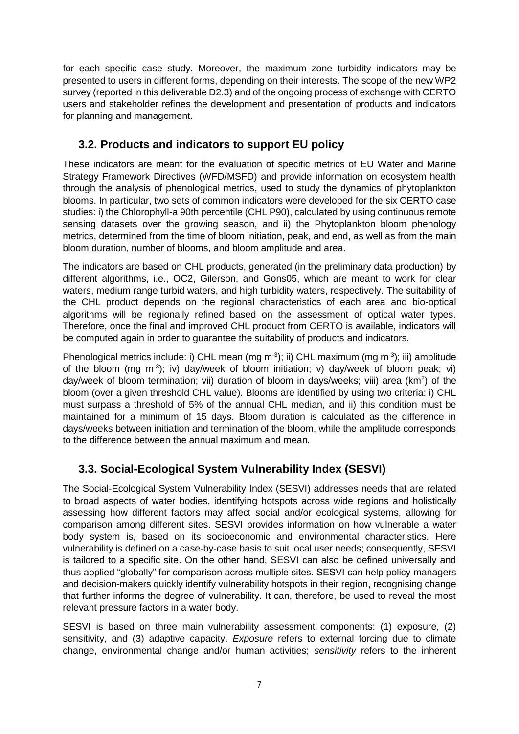for each specific case study. Moreover, the maximum zone turbidity indicators may be presented to users in different forms, depending on their interests. The scope of the new WP2 survey (reported in this deliverable D2.3) and of the ongoing process of exchange with CERTO users and stakeholder refines the development and presentation of products and indicators for planning and management.

### <span id="page-6-0"></span>**3.2. Products and indicators to support EU policy**

These indicators are meant for the evaluation of specific metrics of EU Water and Marine Strategy Framework Directives (WFD/MSFD) and provide information on ecosystem health through the analysis of phenological metrics, used to study the dynamics of phytoplankton blooms. In particular, two sets of common indicators were developed for the six CERTO case studies: i) the Chlorophyll-a 90th percentile (CHL P90), calculated by using continuous remote sensing datasets over the growing season, and ii) the Phytoplankton bloom phenology metrics, determined from the time of bloom initiation, peak, and end, as well as from the main bloom duration, number of blooms, and bloom amplitude and area.

The indicators are based on CHL products, generated (in the preliminary data production) by different algorithms, i.e., OC2, Gilerson, and Gons05, which are meant to work for clear waters, medium range turbid waters, and high turbidity waters, respectively. The suitability of the CHL product depends on the regional characteristics of each area and bio-optical algorithms will be regionally refined based on the assessment of optical water types. Therefore, once the final and improved CHL product from CERTO is available, indicators will be computed again in order to guarantee the suitability of products and indicators.

Phenological metrics include: i) CHL mean (mg m<sup>-3</sup>); ii) CHL maximum (mg m<sup>-3</sup>); iii) amplitude of the bloom (mg m<sup>-3</sup>); iv) day/week of bloom initiation; v) day/week of bloom peak; vi) day/week of bloom termination; vii) duration of bloom in days/weeks; viii) area (km<sup>2</sup>) of the bloom (over a given threshold CHL value). Blooms are identified by using two criteria: i) CHL must surpass a threshold of 5% of the annual CHL median, and ii) this condition must be maintained for a minimum of 15 days. Bloom duration is calculated as the difference in days/weeks between initiation and termination of the bloom, while the amplitude corresponds to the difference between the annual maximum and mean.

## <span id="page-6-1"></span>**3.3. Social-Ecological System Vulnerability Index (SESVI)**

The Social-Ecological System Vulnerability Index (SESVI) addresses needs that are related to broad aspects of water bodies, identifying hotspots across wide regions and holistically assessing how different factors may affect social and/or ecological systems, allowing for comparison among different sites. SESVI provides information on how vulnerable a water body system is, based on its socioeconomic and environmental characteristics. Here vulnerability is defined on a case-by-case basis to suit local user needs; consequently, SESVI is tailored to a specific site. On the other hand, SESVI can also be defined universally and thus applied "globally" for comparison across multiple sites. SESVI can help policy managers and decision-makers quickly identify vulnerability hotspots in their region, recognising change that further informs the degree of vulnerability. It can, therefore, be used to reveal the most relevant pressure factors in a water body.

SESVI is based on three main vulnerability assessment components: (1) exposure, (2) sensitivity, and (3) adaptive capacity. *Exposure* refers to external forcing due to climate change, environmental change and/or human activities; *sensitivity* refers to the inherent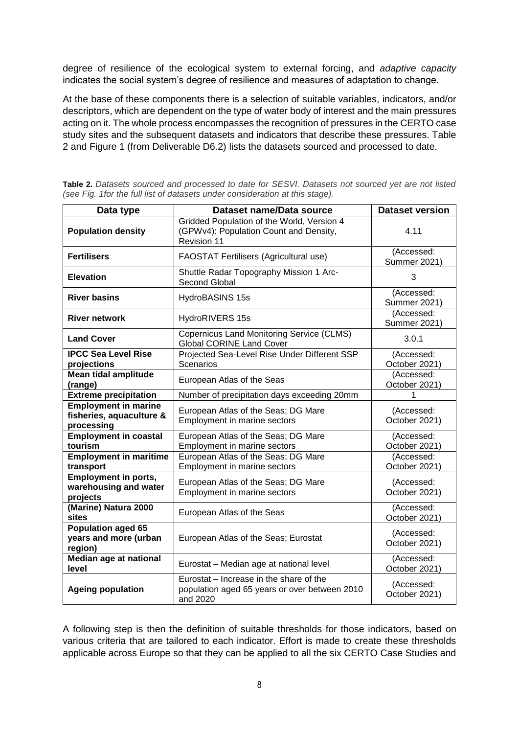degree of resilience of the ecological system to external forcing, and *adaptive capacity* indicates the social system's degree of resilience and measures of adaptation to change.

At the base of these components there is a selection of suitable variables, indicators, and/or descriptors, which are dependent on the type of water body of interest and the main pressures acting on it. The whole process encompasses the recognition of pressures in the CERTO case study sites and the subsequent datasets and indicators that describe these pressures. Table 2 and Figure 1 (from Deliverable D6.2) lists the datasets sourced and processed to date.

| Data type                                                             | Dataset name/Data source                                                                                   | <b>Dataset version</b>            |  |
|-----------------------------------------------------------------------|------------------------------------------------------------------------------------------------------------|-----------------------------------|--|
| <b>Population density</b>                                             | Gridded Population of the World, Version 4<br>(GPWv4): Population Count and Density,<br><b>Revision 11</b> | 4.11                              |  |
| <b>Fertilisers</b>                                                    | <b>FAOSTAT Fertilisers (Agricultural use)</b>                                                              | (Accessed:<br><b>Summer 2021)</b> |  |
| <b>Elevation</b>                                                      | Shuttle Radar Topography Mission 1 Arc-<br>Second Global                                                   | 3                                 |  |
| <b>River basins</b>                                                   | HydroBASINS 15s                                                                                            | (Accessed:<br><b>Summer 2021)</b> |  |
| <b>River network</b>                                                  | <b>HydroRIVERS 15s</b>                                                                                     | (Accessed:<br><b>Summer 2021)</b> |  |
| <b>Land Cover</b>                                                     | <b>Copernicus Land Monitoring Service (CLMS)</b><br><b>Global CORINE Land Cover</b>                        |                                   |  |
| <b>IPCC Sea Level Rise</b><br>projections                             | Projected Sea-Level Rise Under Different SSP<br><b>Scenarios</b>                                           | (Accessed:<br>October 2021)       |  |
| <b>Mean tidal amplitude</b><br>European Atlas of the Seas<br>(range)  |                                                                                                            | (Accessed:<br>October 2021)       |  |
| <b>Extreme precipitation</b>                                          | Number of precipitation days exceeding 20mm                                                                |                                   |  |
| <b>Employment in marine</b><br>fisheries, aquaculture &<br>processing | European Atlas of the Seas; DG Mare<br>Employment in marine sectors                                        | (Accessed:<br>October 2021)       |  |
| <b>Employment in coastal</b><br>tourism                               | European Atlas of the Seas; DG Mare<br>Employment in marine sectors                                        | (Accessed:<br>October 2021)       |  |
| <b>Employment in maritime</b><br>transport                            | European Atlas of the Seas; DG Mare<br>Employment in marine sectors                                        |                                   |  |
| <b>Employment in ports,</b><br>warehousing and water<br>projects      | European Atlas of the Seas; DG Mare<br>Employment in marine sectors                                        | (Accessed:<br>October 2021)       |  |
| (Marine) Natura 2000<br>European Atlas of the Seas<br>sites           |                                                                                                            | (Accessed:<br>October 2021)       |  |
| <b>Population aged 65</b><br>years and more (urban<br>region)         | European Atlas of the Seas; Eurostat                                                                       | (Accessed:<br>October 2021)       |  |
| <b>Median age at national</b><br>level                                | Eurostat - Median age at national level                                                                    | (Accessed:<br>October 2021)       |  |
| <b>Ageing population</b>                                              | Eurostat - Increase in the share of the<br>population aged 65 years or over between 2010<br>and 2020       | (Accessed:<br>October 2021)       |  |

**Table 2.** *Datasets sourced and processed to date for SESVI. Datasets not sourced yet are not listed (see Fig. 1for the full list of datasets under consideration at this stage).* 

A following step is then the definition of suitable thresholds for those indicators, based on various criteria that are tailored to each indicator. Effort is made to create these thresholds applicable across Europe so that they can be applied to all the six CERTO Case Studies and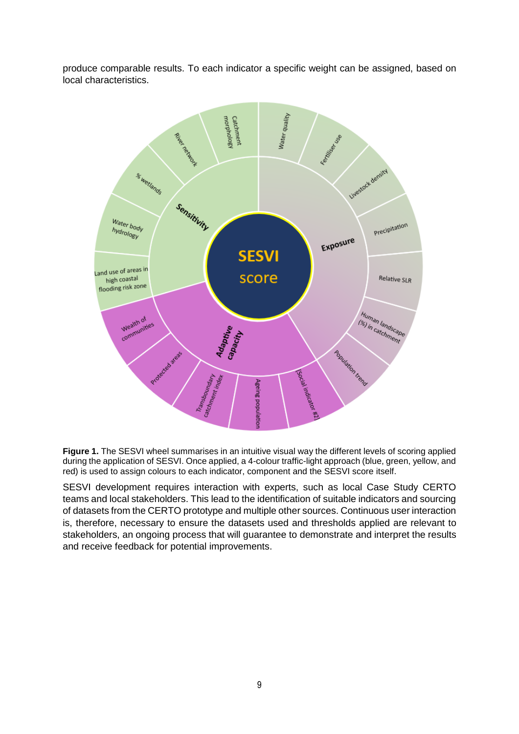produce comparable results. To each indicator a specific weight can be assigned, based on local characteristics.



Figure 1. The SESVI wheel summarises in an intuitive visual way the different levels of scoring applied during the application of SESVI. Once applied, a 4-colour traffic-light approach (blue, green, yellow, and red) is used to assign colours to each indicator, component and the SESVI score itself.

SESVI development requires interaction with experts, such as local Case Study CERTO teams and local stakeholders. This lead to the identification of suitable indicators and sourcing of datasets from the CERTO prototype and multiple other sources. Continuous user interaction is, therefore, necessary to ensure the datasets used and thresholds applied are relevant to stakeholders, an ongoing process that will guarantee to demonstrate and interpret the results and receive feedback for potential improvements.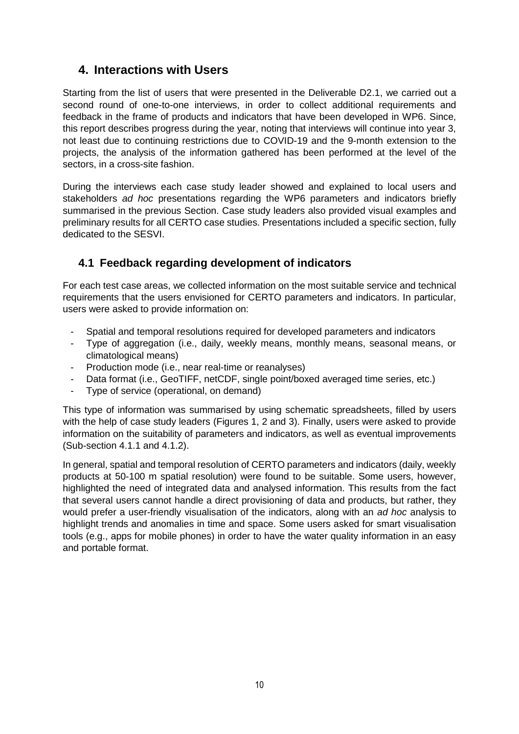# <span id="page-9-0"></span>**4. Interactions with Users**

Starting from the list of users that were presented in the Deliverable D2.1, we carried out a second round of one-to-one interviews, in order to collect additional requirements and feedback in the frame of products and indicators that have been developed in WP6. Since, this report describes progress during the year, noting that interviews will continue into year 3, not least due to continuing restrictions due to COVID-19 and the 9-month extension to the projects, the analysis of the information gathered has been performed at the level of the sectors, in a cross-site fashion.

During the interviews each case study leader showed and explained to local users and stakeholders *ad hoc* presentations regarding the WP6 parameters and indicators briefly summarised in the previous Section. Case study leaders also provided visual examples and preliminary results for all CERTO case studies. Presentations included a specific section, fully dedicated to the SESVI.

### <span id="page-9-1"></span>**4.1 Feedback regarding development of indicators**

For each test case areas, we collected information on the most suitable service and technical requirements that the users envisioned for CERTO parameters and indicators. In particular, users were asked to provide information on:

- Spatial and temporal resolutions required for developed parameters and indicators
- Type of aggregation (i.e., daily, weekly means, monthly means, seasonal means, or climatological means)
- Production mode (i.e., near real-time or reanalyses)
- Data format (i.e., GeoTIFF, netCDF, single point/boxed averaged time series, etc.)
- Type of service (operational, on demand)

This type of information was summarised by using schematic spreadsheets, filled by users with the help of case study leaders (Figures 1, 2 and 3). Finally, users were asked to provide information on the suitability of parameters and indicators, as well as eventual improvements (Sub-section 4.1.1 and 4.1.2).

In general, spatial and temporal resolution of CERTO parameters and indicators (daily, weekly products at 50-100 m spatial resolution) were found to be suitable. Some users, however, highlighted the need of integrated data and analysed information. This results from the fact that several users cannot handle a direct provisioning of data and products, but rather, they would prefer a user-friendly visualisation of the indicators, along with an *ad hoc* analysis to highlight trends and anomalies in time and space. Some users asked for smart visualisation tools (e.g., apps for mobile phones) in order to have the water quality information in an easy and portable format.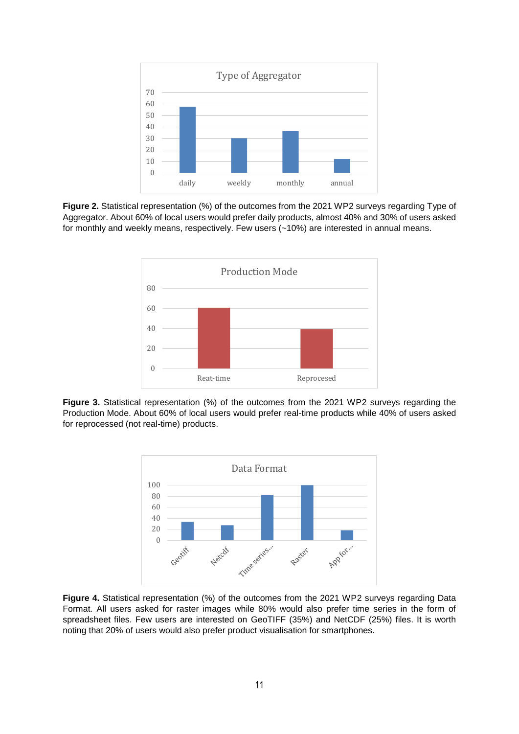

**Figure 2.** Statistical representation (%) of the outcomes from the 2021 WP2 surveys regarding Type of Aggregator. About 60% of local users would prefer daily products, almost 40% and 30% of users asked for monthly and weekly means, respectively. Few users (~10%) are interested in annual means.



**Figure 3.** Statistical representation (%) of the outcomes from the 2021 WP2 surveys regarding the Production Mode. About 60% of local users would prefer real-time products while 40% of users asked for reprocessed (not real-time) products.



**Figure 4.** Statistical representation (%) of the outcomes from the 2021 WP2 surveys regarding Data Format. All users asked for raster images while 80% would also prefer time series in the form of spreadsheet files. Few users are interested on GeoTIFF (35%) and NetCDF (25%) files. It is worth noting that 20% of users would also prefer product visualisation for smartphones.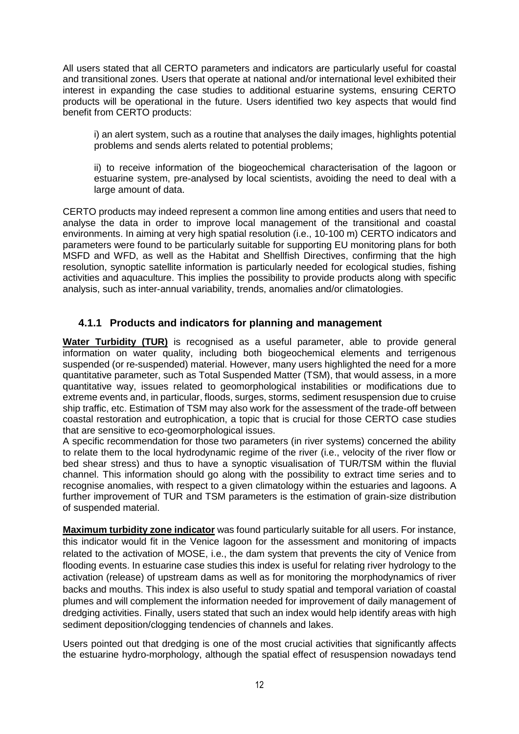All users stated that all CERTO parameters and indicators are particularly useful for coastal and transitional zones. Users that operate at national and/or international level exhibited their interest in expanding the case studies to additional estuarine systems, ensuring CERTO products will be operational in the future. Users identified two key aspects that would find benefit from CERTO products:

i) an alert system, such as a routine that analyses the daily images, highlights potential problems and sends alerts related to potential problems;

ii) to receive information of the biogeochemical characterisation of the lagoon or estuarine system, pre-analysed by local scientists, avoiding the need to deal with a large amount of data.

CERTO products may indeed represent a common line among entities and users that need to analyse the data in order to improve local management of the transitional and coastal environments. In aiming at very high spatial resolution (i.e., 10-100 m) CERTO indicators and parameters were found to be particularly suitable for supporting EU monitoring plans for both MSFD and WFD, as well as the Habitat and Shellfish Directives, confirming that the high resolution, synoptic satellite information is particularly needed for ecological studies, fishing activities and aquaculture. This implies the possibility to provide products along with specific analysis, such as inter-annual variability, trends, anomalies and/or climatologies.

#### <span id="page-11-0"></span>**4.1.1 Products and indicators for planning and management**

**Water Turbidity (TUR)** is recognised as a useful parameter, able to provide general information on water quality, including both biogeochemical elements and terrigenous suspended (or re-suspended) material. However, many users highlighted the need for a more quantitative parameter, such as Total Suspended Matter (TSM), that would assess, in a more quantitative way, issues related to geomorphological instabilities or modifications due to extreme events and, in particular, floods, surges, storms, sediment resuspension due to cruise ship traffic, etc. Estimation of TSM may also work for the assessment of the trade-off between coastal restoration and eutrophication, a topic that is crucial for those CERTO case studies that are sensitive to eco-geomorphological issues.

A specific recommendation for those two parameters (in river systems) concerned the ability to relate them to the local hydrodynamic regime of the river (i.e., velocity of the river flow or bed shear stress) and thus to have a synoptic visualisation of TUR/TSM within the fluvial channel. This information should go along with the possibility to extract time series and to recognise anomalies, with respect to a given climatology within the estuaries and lagoons. A further improvement of TUR and TSM parameters is the estimation of grain-size distribution of suspended material.

**Maximum turbidity zone indicator** was found particularly suitable for all users. For instance, this indicator would fit in the Venice lagoon for the assessment and monitoring of impacts related to the activation of MOSE, i.e., the dam system that prevents the city of Venice from flooding events. In estuarine case studies this index is useful for relating river hydrology to the activation (release) of upstream dams as well as for monitoring the morphodynamics of river backs and mouths. This index is also useful to study spatial and temporal variation of coastal plumes and will complement the information needed for improvement of daily management of dredging activities. Finally, users stated that such an index would help identify areas with high sediment deposition/clogging tendencies of channels and lakes.

Users pointed out that dredging is one of the most crucial activities that significantly affects the estuarine hydro-morphology, although the spatial effect of resuspension nowadays tend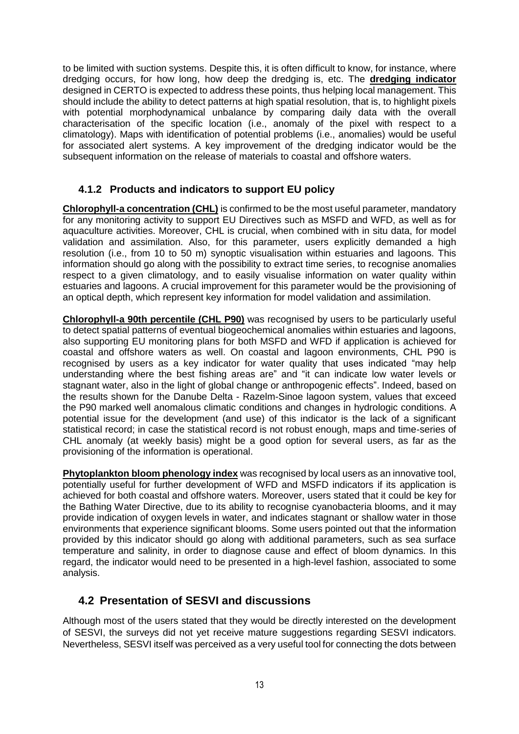to be limited with suction systems. Despite this, it is often difficult to know, for instance, where dredging occurs, for how long, how deep the dredging is, etc. The **dredging indicator** designed in CERTO is expected to address these points, thus helping local management. This should include the ability to detect patterns at high spatial resolution, that is, to highlight pixels with potential morphodynamical unbalance by comparing daily data with the overall characterisation of the specific location (i.e., anomaly of the pixel with respect to a climatology). Maps with identification of potential problems (i.e., anomalies) would be useful for associated alert systems. A key improvement of the dredging indicator would be the subsequent information on the release of materials to coastal and offshore waters.

#### <span id="page-12-0"></span>**4.1.2 Products and indicators to support EU policy**

**Chlorophyll-a concentration (CHL)** is confirmed to be the most useful parameter, mandatory for any monitoring activity to support EU Directives such as MSFD and WFD, as well as for aquaculture activities. Moreover, CHL is crucial, when combined with in situ data, for model validation and assimilation. Also, for this parameter, users explicitly demanded a high resolution (i.e., from 10 to 50 m) synoptic visualisation within estuaries and lagoons. This information should go along with the possibility to extract time series, to recognise anomalies respect to a given climatology, and to easily visualise information on water quality within estuaries and lagoons. A crucial improvement for this parameter would be the provisioning of an optical depth, which represent key information for model validation and assimilation.

**Chlorophyll-a 90th percentile (CHL P90)** was recognised by users to be particularly useful to detect spatial patterns of eventual biogeochemical anomalies within estuaries and lagoons, also supporting EU monitoring plans for both MSFD and WFD if application is achieved for coastal and offshore waters as well. On coastal and lagoon environments, CHL P90 is recognised by users as a key indicator for water quality that uses indicated "may help understanding where the best fishing areas are" and "it can indicate low water levels or stagnant water, also in the light of global change or anthropogenic effects". Indeed, based on the results shown for the Danube Delta - Razelm-Sinoe lagoon system, values that exceed the P90 marked well anomalous climatic conditions and changes in hydrologic conditions. A potential issue for the development (and use) of this indicator is the lack of a significant statistical record; in case the statistical record is not robust enough, maps and time-series of CHL anomaly (at weekly basis) might be a good option for several users, as far as the provisioning of the information is operational.

**Phytoplankton bloom phenology index** was recognised by local users as an innovative tool, potentially useful for further development of WFD and MSFD indicators if its application is achieved for both coastal and offshore waters. Moreover, users stated that it could be key for the Bathing Water Directive, due to its ability to recognise cyanobacteria blooms, and it may provide indication of oxygen levels in water, and indicates stagnant or shallow water in those environments that experience significant blooms. Some users pointed out that the information provided by this indicator should go along with additional parameters, such as sea surface temperature and salinity, in order to diagnose cause and effect of bloom dynamics. In this regard, the indicator would need to be presented in a high-level fashion, associated to some analysis.

### <span id="page-12-1"></span>**4.2 Presentation of SESVI and discussions**

Although most of the users stated that they would be directly interested on the development of SESVI, the surveys did not yet receive mature suggestions regarding SESVI indicators. Nevertheless, SESVI itself was perceived as a very useful tool for connecting the dots between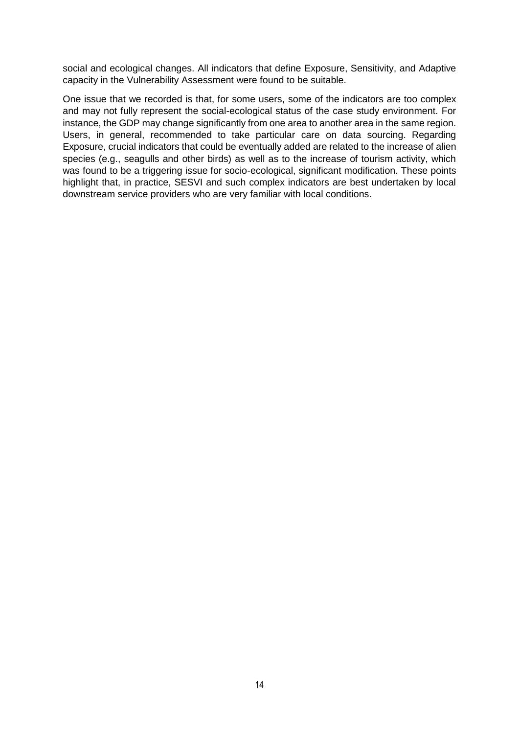social and ecological changes. All indicators that define Exposure, Sensitivity, and Adaptive capacity in the Vulnerability Assessment were found to be suitable.

One issue that we recorded is that, for some users, some of the indicators are too complex and may not fully represent the social-ecological status of the case study environment. For instance, the GDP may change significantly from one area to another area in the same region. Users, in general, recommended to take particular care on data sourcing. Regarding Exposure, crucial indicators that could be eventually added are related to the increase of alien species (e.g., seagulls and other birds) as well as to the increase of tourism activity, which was found to be a triggering issue for socio-ecological, significant modification. These points highlight that, in practice, SESVI and such complex indicators are best undertaken by local downstream service providers who are very familiar with local conditions.